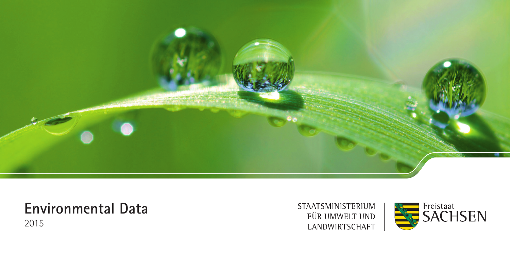

## **Environmental Data**

2015

STAATSMINISTERIUM FÜR UMWELT UND LANDWIRTSCHAFT

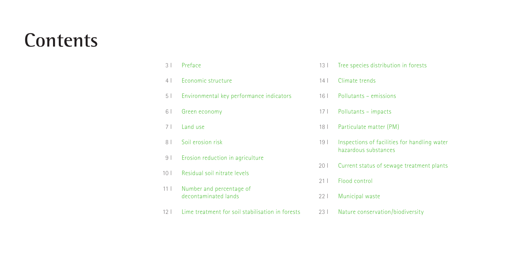# **Contents**

| 3 <sup>1</sup>  | Preface                                          | 13 <sup>1</sup> | Tree species distribution in forests                                 |
|-----------------|--------------------------------------------------|-----------------|----------------------------------------------------------------------|
| 4               | Economic structure                               | 14              | Climate trends                                                       |
| 5 <sup>1</sup>  | Environmental key performance indicators         | 16 <sup>1</sup> | Pollutants – emissions                                               |
| 6               | Green economy                                    | 17 <sup>1</sup> | Pollutants - impacts                                                 |
| 7 <sup>1</sup>  | Land use                                         | 18 <sup>1</sup> | Particulate matter (PM)                                              |
| 8 <sup>1</sup>  | Soil erosion risk                                | 19 <sub>1</sub> | Inspections of facilities for handling water<br>hazardous substances |
| 9 <sub>1</sub>  | Erosion reduction in agriculture                 |                 |                                                                      |
| 10 <sup>1</sup> | Residual soil nitrate levels                     | 201             | Current status of sewage treatment plants                            |
|                 |                                                  | 21 <sup>1</sup> | Flood control                                                        |
| 11 <sup>1</sup> | Number and percentage of<br>decontaminated lands | 221             | Municipal waste                                                      |
| 12 <sup>1</sup> | Lime treatment for soil stabilisation in forests | 23 <sup>1</sup> | Nature conservation/biodiversity                                     |
|                 |                                                  |                 |                                                                      |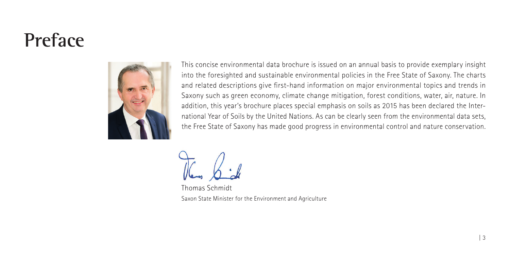## <span id="page-2-0"></span>**Preface**



This concise environmental data brochure is issued on an annual basis to provide exemplary insight into the foresighted and sustainable environmental policies in the Free State of Saxony. The charts and related descriptions give first-hand information on major environmental topics and trends in Saxony such as green economy, climate change mitigation, forest conditions, water, air, nature. In addition, this year's brochure places special emphasis on soils as 2015 has been declared the International Year of Soils by the United Nations. As can be clearly seen from the environmental data sets, the Free State of Saxony has made good progress in environmental control and nature conservation.

Thomas Schmidt Saxon State Minister for the Environment and Agriculture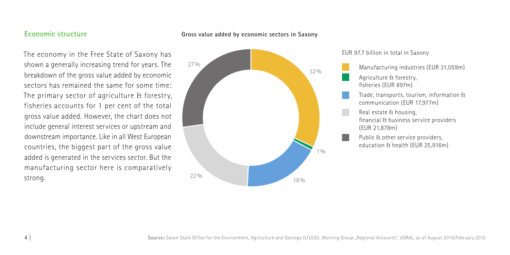## <span id="page-3-0"></span>**Economic structure**

#### **Gross value added by economic sectors in Saxony**

The economy in the Free State of Saxony has shown a generally increasing trend for years. The breakdown of the gross value added by economic sectors has remained the same for some time: The primary sector of agriculture & forestry, fisheries accounts for 1 per cent of the total gross value added. However, the chart does not include general interest services or upstream and downstream importance. Like in all West European countries, the biggest part of the gross value added is generated in the services sector. But the manufacturing sector here is comparatively strong.





Manufacturing industries (EUR 31,059m) Agriculture & forestry, fisheries (EUR 897m) Trade, transports, tourism, information & communication (EUR 17,977m) Real estate & housing, financial & business service providers (EUR 21,878m) Public & other service providers, education & health (EUR 25,916m)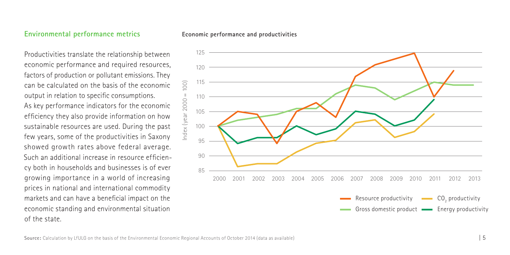## <span id="page-4-0"></span>**Environmental performance metrics**

**Economic performance and productivities**

Productivities translate the relationship between economic performance and required resources, factors of production or pollutant emissions. They can be calculated on the basis of the economic output in relation to specific consumptions. As key performance indicators for the economic efficiency they also provide information on how sustainable resources are used. During the past few years, some of the productivities in Saxony showed growth rates above federal average. Such an additional increase in resource efficiency both in households and businesses is of ever growing importance in a world of increasing prices in national and international commodity markets and can have a beneficial impact on the economic standing and environmental situation of the state.

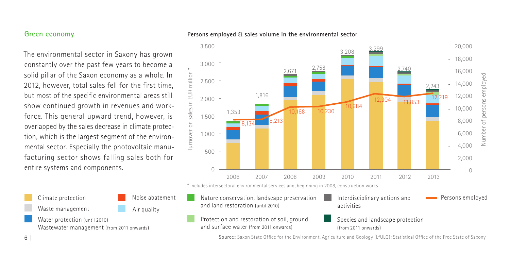## <span id="page-5-0"></span>**Green economy**

The environmental sector in Saxony has grown constantly over the past few years to become a solid pillar of the Saxon economy as a whole. In 2012, however, total sales fell for the first time, but most of the specific environmental areas still show continued growth in revenues and workforce. This general upward trend, however, is overlapped by the sales decrease in climate protection, which is the largest segment of the environmental sector. Especially the photovoltaic manufacturing sector shows falling sales both for entire systems and components.

Climate protection Waste management Noise abatement Air quality

Water protection (until 2010) Wastewater management (from 2011 onwards)





\* includes intersectoral environmental services and, beginning in 2008, construction works

- Nature conservation, landscape preservation and land restoration (until 2010)
- Protection and restoration of soil, ground and surface water (from 2011 onwards)
- Species and landscape protection (from 2011 onwards)

Persons employed

Interdisciplinary actions and

**Source:** Saxon State Office for the Environment, Agriculture and Geology (LfULG); Statistical Office of the Free State of Saxony

activities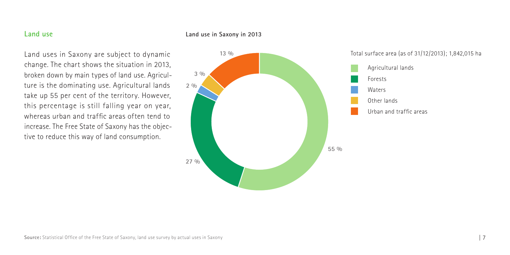## <span id="page-6-0"></span>**Land use**

#### **Land use in Saxony in 2013**

Land uses in Saxony are subject to dynamic change. The chart shows the situation in 2013, broken down by main types of land use. Agriculture is the dominating use. Agricultural lands take up 55 per cent of the territory. However, this percentage is still falling year on year, whereas urban and traffic areas often tend to increase. The Free State of Saxony has the objective to reduce this way of land consumption.



Total surface area (as of 31/12/2013); 1,842,015 ha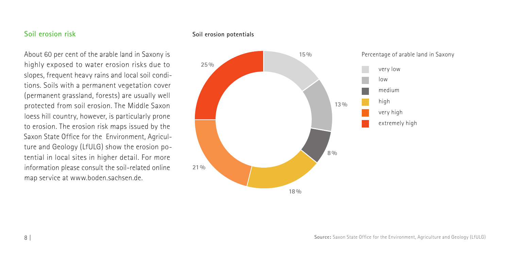## <span id="page-7-0"></span>**Soil erosion risk**

About 60 per cent of the arable land in Saxony is highly exposed to water erosion risks due to slopes, frequent heavy rains and local soil conditions. Soils with a permanent vegetation cover (permanent grassland, forests) are usually well protected from soil erosion. The Middle Saxon loess hill country, however, is particularly prone to erosion. The erosion risk maps issued by the Saxon State Office for the Environment, Agriculture and Geology (LfULG) show the erosion potential in local sites in higher detail. For more information please consult the soil-related online map service at www.boden.sachsen.de.

#### **Soil erosion potentials**

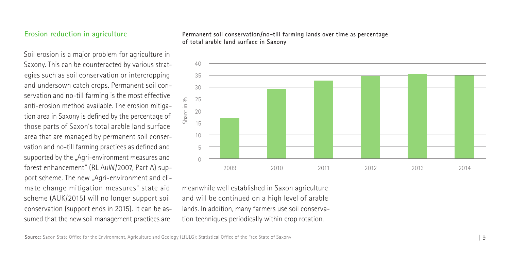## <span id="page-8-0"></span>**Erosion reduction in agriculture**

Soil erosion is a major problem for agriculture in Saxony. This can be counteracted by various strategies such as soil conservation or intercropping and undersown catch crops. Permanent soil conservation and no-till farming is the most effective anti-erosion method available. The erosion mitigation area in Saxony is defined by the percentage of those parts of Saxon's total arable land surface area that are managed by permanent soil conservation and no-till farming practices as defined and supported by the "Agri-environment measures and forest enhancement" (RL AuW/2007, Part A) support scheme. The new "Agri-environment and climate change mitigation measures" state aid scheme (AUK/2015) will no longer support soil conservation (support ends in 2015). It can be assumed that the new soil management practices are

**Permanent soil conservation/no-till farming lands over time as percentage of total arable land surface in Saxony**



meanwhile well established in Saxon agriculture and will be continued on a high level of arable lands. In addition, many farmers use soil conserva-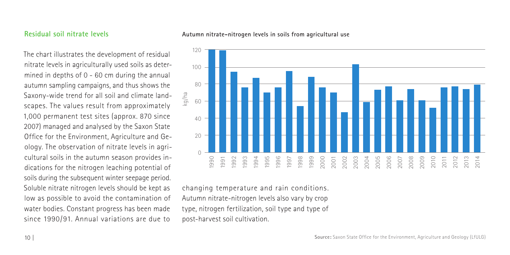## <span id="page-9-0"></span>**Residual soil nitrate levels**

The chart illustrates the development of residual nitrate levels in agriculturally used soils as determined in depths of 0 - 60 cm during the annual autumn sampling campaigns, and thus shows the Saxony-wide trend for all soil and climate landscapes. The values result from approximately 1,000 permanent test sites (approx. 870 since 2007) managed and analysed by the Saxon State Office for the Environment, Agriculture and Geology. The observation of nitrate levels in agricultural soils in the autumn season provides indications for the nitrogen leaching potential of soils during the subsequent winter seepage period. Soluble nitrate nitrogen levels should be kept as low as possible to avoid the contamination of water bodies. Constant progress has been made since 1990/91. Annual variations are due to

#### **Autumn nitrate-nitrogen levels in soils from agricultural use**



changing temperature and rain conditions. Autumn nitrate-nitrogen levels also vary by crop type, nitrogen fertilization, soil type and type of post-harvest soil cultivation.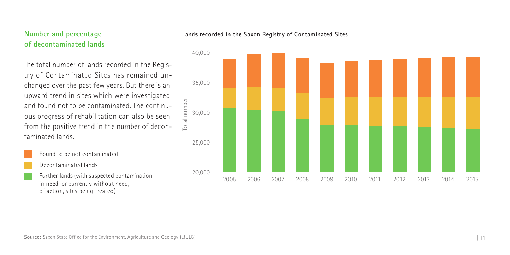## <span id="page-10-0"></span>**Number and percentage of decontaminated lands**

The total number of lands recorded in the Registry of Contaminated Sites has remained unchanged over the past few years. But there is an upward trend in sites which were investigated and found not to be contaminated. The continuous progress of rehabilitation can also be seen from the positive trend in the number of decontaminated lands.

Found to be not contaminated

Decontaminated lands

Further lands (with suspected contamination in need, or currently without need, of action, sites being treated)



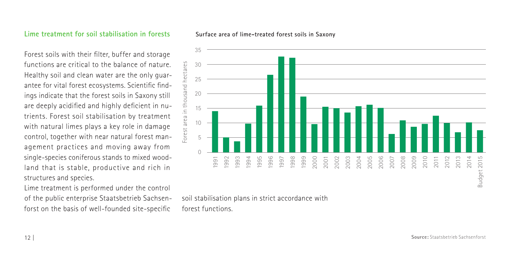#### <span id="page-11-0"></span>**Lime treatment for soil stabilisation in forests**

Forest soils with their filter, buffer and storage functions are critical to the balance of nature. Healthy soil and clean water are the only guarantee for vital forest ecosystems. Scientific findings indicate that the forest soils in Saxony still are deeply acidified and highly deficient in nutrients. Forest soil stabilisation by treatment with natural limes plays a key role in damage control, together with near natural forest management practices and moving away from single-species coniferous stands to mixed woodland that is stable, productive and rich in structures and species.

Lime treatment is performed under the control of the public enterprise Staatsbetrieb Sachsenforst on the basis of well-founded site-specific



**Surface area of lime-treated forest soils in Saxony**

soil stabilisation plans in strict accordance with forest functions.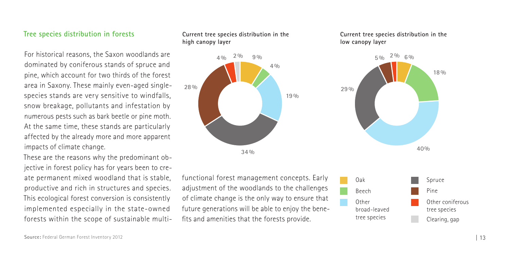## <span id="page-12-0"></span>**Tree species distribution in forests**

For historical reasons, the Saxon woodlands are dominated by coniferous stands of spruce and pine, which account for two thirds of the forest area in Saxony. These mainly even-aged singlespecies stands are very sensitive to windfalls, snow breakage, pollutants and infestation by numerous pests such as bark beetle or pine moth. At the same time, these stands are particularly affected by the already more and more apparent impacts of climate change.

These are the reasons why the predominant objective in forest policy has for years been to create permanent mixed woodland that is stable, productive and rich in structures and species. This ecological forest conversion is consistently implemented especially in the state-owned forests within the scope of sustainable multi-





functional forest management concepts. Early adjustment of the woodlands to the challenges of climate change is the only way to ensure that future generations will be able to enjoy the benefits and amenities that the forests provide.



**Current tree species distribution in the** 

**low canopy layer**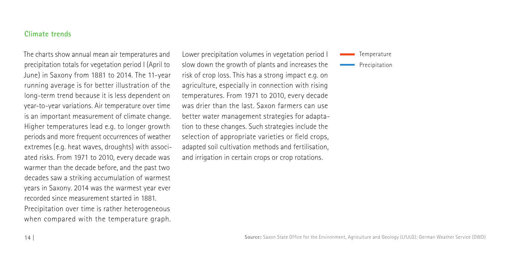## <span id="page-13-0"></span>**Climate trends**

The charts show annual mean air temperatures and precipitation totals for vegetation period I (April to June) in Saxony from 1881 to 2014. The 11-year running average is for better illustration of the long-term trend because it is less dependent on year-to-year variations. Air temperature over time is an important measurement of climate change. Higher temperatures lead e.g. to longer growth periods and more frequent occurrences of weather extremes (e.g. heat waves, droughts) with associated risks. From 1971 to 2010, every decade was warmer than the decade before, and the past two decades saw a striking accumulation of warmest years in Saxony. 2014 was the warmest year ever recorded since measurement started in 1881. Precipitation over time is rather heterogeneous when compared with the temperature graph. Lower precipitation volumes in vegetation period I slow down the growth of plants and increases the risk of crop loss. This has a strong impact e.g. on agriculture, especially in connection with rising temperatures. From 1971 to 2010, every decade was drier than the last. Saxon farmers can use better water management strategies for adaptation to these changes. Such strategies include the selection of appropriate varieties or field crops, adapted soil cultivation methods and fertilisation, and irrigation in certain crops or crop rotations.

**Temperature** Precipitation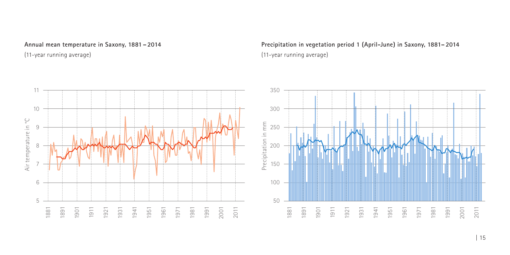**Annual mean temperature in Saxony, 1881 – 2014** 

(11-year running average)



**Precipitation in vegetation period 1 (April-June) in Saxony, 1881– 2014**  (11-year running average)

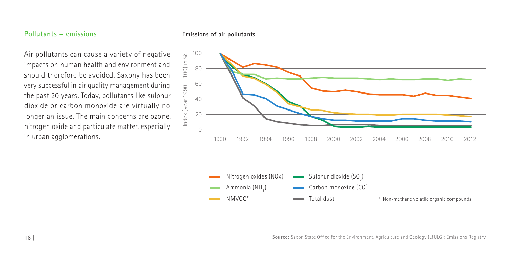### <span id="page-15-0"></span>**Pollutants – emissions**

#### **Emissions of air pollutants**

Air pollutants can cause a variety of negative impacts on human health and environment and should therefore be avoided. Saxony has been very successful in air quality management during the past 20 years. Today, pollutants like sulphur dioxide or carbon monoxide are virtually no longer an issue. The main concerns are ozone, nitrogen oxide and particulate matter, especially in urban agglomerations.





**Source:** Saxon State Office for the Environment, Agriculture and Geology (LfULG); Emissions Registry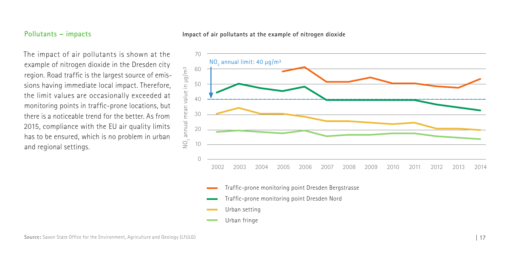## <span id="page-16-0"></span>**Pollutants – impacts**

#### **Impact of air pollutants at the example of nitrogen dioxide**

The impact of air pollutants is shown at the example of nitrogen dioxide in the Dresden city region. Road traffic is the largest source of emissions having immediate local impact. Therefore, the limit values are occasionally exceeded at monitoring points in traffic-prone locations, but there is a noticeable trend for the better. As from 2015, compliance with the EU air quality limits has to be ensured, which is no problem in urban and regional settings.



- Urban setting
- Urban fringe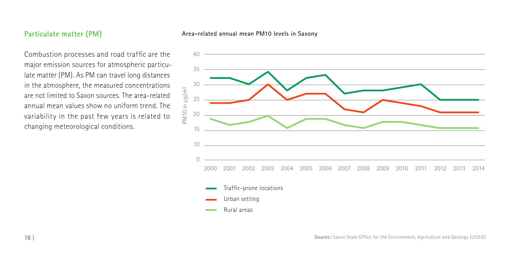## <span id="page-17-0"></span>**Particulate matter (PM)**

#### **Area-related annual mean PM10 levels in Saxony**

Combustion processes and road traffic are the major emission sources for atmospheric particulate matter (PM). As PM can travel long distances in the atmosphere, the measured concentrations are not limited to Saxon sources. The area-related annual mean values show no uniform trend. The variability in the past few years is related to changing meteorological conditions.

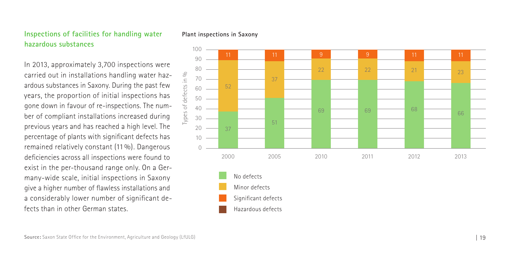## <span id="page-18-0"></span>**Inspections of facilities for handling water hazardous substances**

In 2013, approximately 3,700 inspections were carried out in installations handling water haz ardous substances in Saxony. During the past few years, the proportion of initial inspections has gone down in favour of re-inspections. The num ber of compliant installations increased during previous years and has reached a high level. The percentage of plants with significant defects has remained relatively constant (11%). Dangerous deficiencies across all inspections were found to exist in the per-thousand range only. On a Ger many-wide scale, initial inspections in Saxony give a higher number of flawless installations and a considerably lower number of significant de fects than in other German states.

#### **Plant inspections in Saxony**

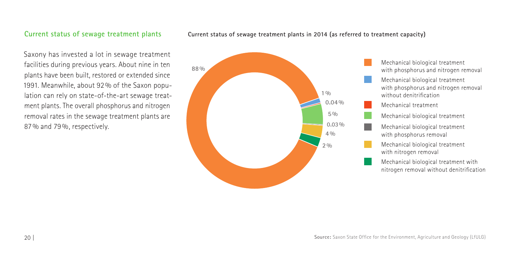## <span id="page-19-0"></span>**Current status of sewage treatment plants**

Saxony has invested a lot in sewage treatment facilities during previous years. About nine in ten plants have been built, restored or extended since 1991. Meanwhile, about 92% of the Saxon population can rely on state-of-the-art sewage treatment plants. The overall phosphorus and nitrogen removal rates in the sewage treatment plants are 87% and 79%, respectively.



#### **Current status of sewage treatment plants in 2014 (as referred to treatment capacity)**

Mechanical biological treatment with phosphorus and nitrogen removal Mechanical biological treatment with phosphorus and nitrogen removal without denitrification Mechanical treatment Mechanical biological treatment Mechanical biological treatment with phosphorus removal Mechanical biological treatment with nitrogen removal Mechanical biological treatment with nitrogen removal without denitrification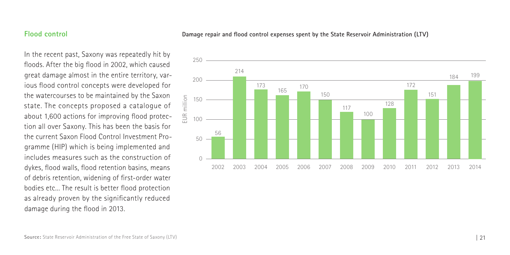## <span id="page-20-0"></span>**Flood control**

**Damage repair and flood control expenses spent by the State Reservoir Administration (LTV)**

In the recent past, Saxony was repeatedly hit by floods. After the big flood in 2002, which caused great damage almost in the entire territory, various flood control concepts were developed for the watercourses to be maintained by the Saxon state. The concepts proposed a catalogue of about 1,600 actions for improving flood protection all over Saxony. This has been the basis for the current Saxon Flood Control Investment Programme (HIP) which is being implemented and includes measures such as the construction of dykes, flood walls, flood retention basins, means of debris retention, widening of first-order water bodies etc... The result is better flood protection as already proven by the significantly reduced damage during the flood in 2013.

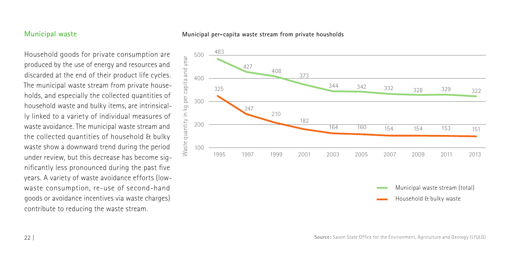## <span id="page-21-0"></span>**Municipal waste**

#### **Municipal per-capita waste stream from private housholds**

Household goods for private consumption are produced by the use of energy and resources and discarded at the end of their product life cycles. The municipal waste stream from private households, and especially the collected quantities of household waste and bulky items, are intrinsically linked to a variety of individual measures of waste avoidance. The municipal waste stream and the collected quantities of household & bulky waste show a downward trend during the period under review, but this decrease has become significantly less pronounced during the past five years. A variety of waste avoidance efforts (lowwaste consumption, re-use of second-hand goods or avoidance incentives via waste charges) contribute to reducing the waste stream.



Household & bulky waste

Municipal waste stream (total)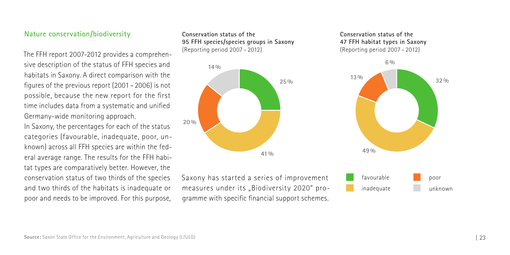## <span id="page-22-0"></span>**Nature conservation/biodiversity**

The FFH report 2007-2012 provides a comprehensive description of the status of FFH species and habitats in Saxony. A direct comparison with the figures of the previous report (2001 – 2006) is not possible, because the new report for the first time includes data from a systematic and unified Germany-wide monitoring approach.

In Saxony, the percentages for each of the status categories (favourable, inadequate, poor, unknown) across all FFH species are within the federal average range. The results for the FFH habitat types are comparatively better. However, the conservation status of two thirds of the species and two thirds of the habitats is inadequate or poor and needs to be improved. For this purpose,

**Conservation status of the 95 FFH species/species groups in Saxony** (Reporting period 2007 – 2012)



Saxony has started a series of improvement measures under its "Biodiversity 2020" programme with specific financial support schemes.

#### **Conservation status of the 47 FFH habitat types in Saxony** (Reporting period 2007 – 2012)